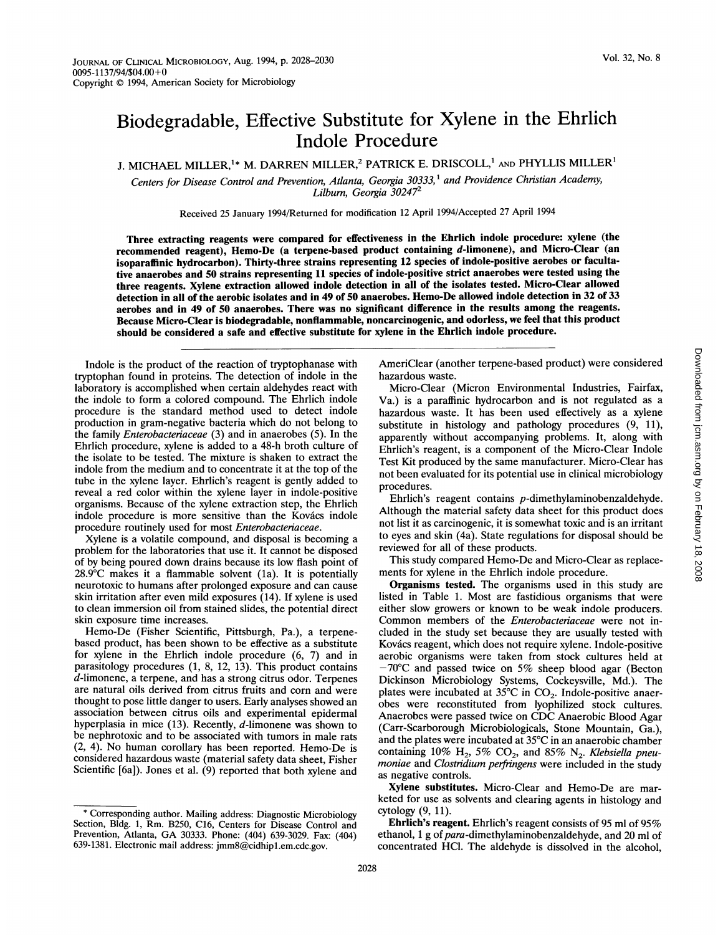## Biodegradable, Effective Substitute for Xylene in the Ehrlich Indole Procedure

J. MICHAEL MILLER,<sup>1</sup>\* M. DARREN MILLER,<sup>2</sup> PATRICK E. DRISCOLL,<sup>1</sup> AND PHYLLIS MILLER<sup>1</sup>

Centers for Disease Control and Prevention, Atlanta, Georgia 30333,<sup>1</sup> and Providence Christian Academy, Lilburn, Georgia 30247<sup>2</sup>

Received 25 January 1994/Returned for modification 12 April 1994/Accepted 27 April 1994

Three extracting reagents were compared for effectiveness in the Ehrlich indole procedure: xylene (the recommended reagent), Hemo-De (a terpene-based product containing d-limonene), and Micro-Clear (an isoparaffinic hydrocarbon). Thirty-three strains representing 12 species of indole-positive aerobes or facultative anaerobes and 50 strains representing 11 species of indole-positive strict anaerobes were tested using the three reagents. Xylene extraction allowed indole detection in all of the isolates tested. Micro-Clear allowed detection in all of the aerobic isolates and in 49 of 50 anaerobes. Hemo-De allowed indole detection in 32 of 33 aerobes and in 49 of 50 anaerobes. There was no significant difference in the results among the reagents. Because Micro-Clear is biodegradable, nonflammable, noncarcinogenic, and odorless, we feel that this product should be considered a safe and effective substitute for xylene in the Ehrlich indole procedure.

Indole is the product of the reaction of tryptophanase with tryptophan found in proteins. The detection of indole in the laboratory is accomplished when certain aldehydes react with the indole to form a colored compound. The Ehrlich indole procedure is the standard method used to detect indole production in gram-negative bacteria which do not belong to the family Enterobacteriaceae (3) and in anaerobes (5). In the Ehrlich procedure, xylene is added to a 48-h broth culture of the isolate to be tested. The mixture is shaken to extract the indole from the medium and to concentrate it at the top of the tube in the xylene layer. Ehrlich's reagent is gently added to reveal a red color within the xylene layer in indole-positive organisms. Because of the xylene extraction step, the Ehrlich indole procedure is more sensitive than the Kovács indole procedure routinely used for most Enterobacteriaceae.

Xylene is a volatile compound, and disposal is becoming a problem for the laboratories that use it. It cannot be disposed of by being poured down drains because its low flash point of 28.9°C makes it a flammable solvent (la). It is potentially neurotoxic to humans after prolonged exposure and can cause skin irritation after even mild exposures (14). If xylene is used to clean immersion oil from stained slides, the potential direct skin exposure time increases.

Hemo-De (Fisher Scientific, Pittsburgh, Pa.), a terpenebased product, has been shown to be effective as a substitute for xylene in the Ehrlich indole procedure (6, 7) and in parasitology procedures (1, 8, 12, 13). This product contains d-limonene, a terpene, and has a strong citrus odor. Terpenes are natural oils derived from citrus fruits and corn and were thought to pose little danger to users. Early analyses showed an association between citrus oils and experimental epidermal hyperplasia in mice (13). Recently, d-limonene was shown to be nephrotoxic and to be associated with tumors in male rats (2, 4). No human corollary has been reported. Hemo-De is considered hazardous waste (material safety data sheet, Fisher Scientific [6a]). Jones et al. (9) reported that both xylene and

AmeriClear (another terpene-based product) were considered hazardous waste.

Micro-Clear (Micron Environmental Industries, Fairfax, Va.) is a paraffinic hydrocarbon and is not regulated as a hazardous waste. It has been used effectively as a xylene substitute in histology and pathology procedures (9, 11), apparently without accompanying problems. It, along with Ehrlich's reagent, is a component of the Micro-Clear Indole Test Kit produced by the same manufacturer. Micro-Clear has not been evaluated for its potential use in clinical microbiology procedures.

Ehrlich's reagent contains p-dimethylaminobenzaldehyde. Although the material safety data sheet for this product does not list it as carcinogenic, it is somewhat toxic and is an irritant to eyes and skin (4a). State regulations for disposal should be reviewed for all of these products.

This study compared Hemo-De and Micro-Clear as replacements for xylene in the Ehrlich indole procedure.

Organisms tested. The organisms used in this study are listed in Table 1. Most are fastidious organisms that were either slow growers or known to be weak indole producers. Common members of the Enterobacteriaceae were not included in the study set because they are usually tested with Kovács reagent, which does not require xylene. Indole-positive aerobic organisms were taken from stock cultures held at  $-70^{\circ}$ C and passed twice on 5% sheep blood agar (Becton Dickinson Microbiology Systems, Cockeysville, Md.). The plates were incubated at 35°C in CO<sub>2</sub>. Indole-positive anaerobes were reconstituted from lyophilized stock cultures. Anaerobes were passed twice on CDC Anaerobic Blood Agar (Carr-Scarborough Microbiologicals, Stone Mountain, Ga.), and the plates were incubated at 35°C in an anaerobic chamber containing 10%  $H_2$ , 5%  $CO_2$ , and 85% N<sub>2</sub>. Klebsiella pneumoniae and Clostridium perfringens were included in the study as negative controls.

Xylene substitutes. Micro-Clear and Hemo-De are marketed for use as solvents and clearing agents in histology and cytology (9, 11).

Ehrlich's reagent. Ehrlich's reagent consists of 95 ml of 95% ethanol, 1 g of *para*-dimethylaminobenzaldehyde, and 20 ml of concentrated HCl. The aldehyde is dissolved in the alcohol,

<sup>\*</sup> Corresponding author. Mailing address: Diagnostic Microbiology Section, Bldg. 1, Rm. B250, C16, Centers for Disease Control and Prevention, Atlanta, GA 30333. Phone: (404) 639-3029. Fax: (404) 639-1381. Electronic mail address: jmm8@cidhipl.em.cdc.gov.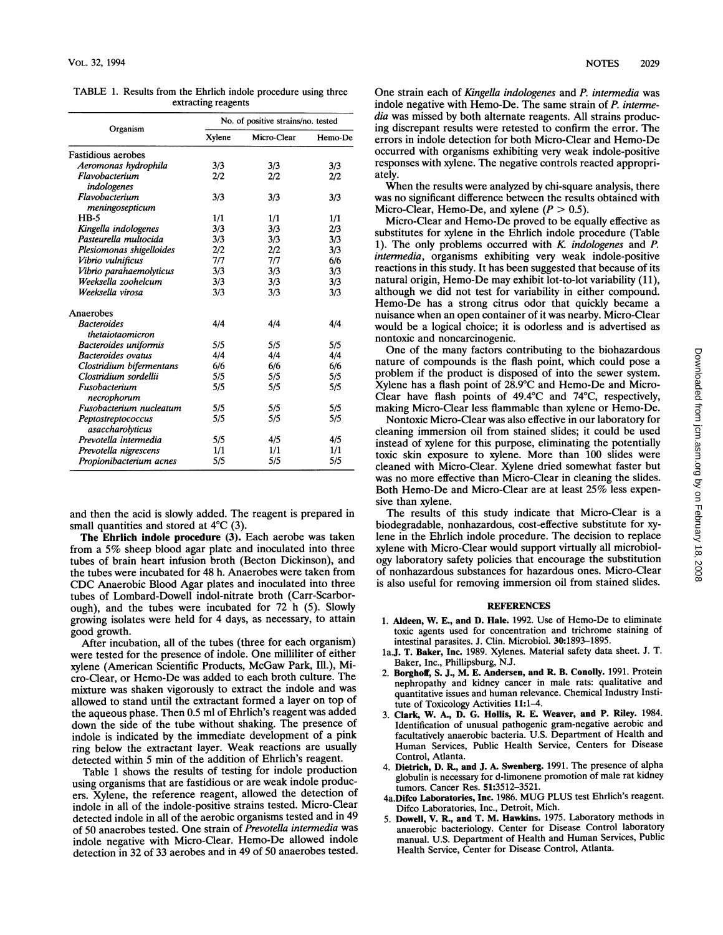| Organism<br>Fastidious aerobes         | Xylene<br>3/3<br>2/2 | Micro-Clear<br>3/3 | Hemo-De |
|----------------------------------------|----------------------|--------------------|---------|
|                                        |                      |                    |         |
|                                        |                      |                    |         |
| Aeromonas hydrophila                   |                      |                    | 3/3     |
| Flavobacterium<br>indologenes          |                      | 2/2                | 2/2     |
| Flavobacterium<br>meningosepticum      | 3/3                  | 3/3                | 3/3     |
| $HB-5$                                 | 1/1                  | 1/1                | 1/1     |
| Kingella indologenes                   | 3/3                  | 3/3                | 2/3     |
| Pasteurella multocida                  | 3/3                  | 3/3                | 3/3     |
| Plesiomonas shigelloides               | 2/2                  | 2/2                | 3/3     |
| Vibrio vulnificus                      | 7/7                  | 7/7                | 6/6     |
| Vibrio parahaemolyticus                | 3/3                  | 3/3                | 3/3     |
| Weeksella zoohelcum                    | 3/3                  | 3/3                | 3/3     |
| Weeksella virosa                       | 3/3                  | 3/3                | 3/3     |
| Anaerobes                              |                      |                    |         |
| <b>Bacteroides</b>                     | 4/4                  | 4/4                | 4/4     |
| thetaiotaomicron                       |                      |                    |         |
| Bacteroides uniformis                  | 5/5                  | 5/5                | 5/5     |
| <b>Bacteroides</b> ovatus              | 4/4                  | 4/4                | 4/4     |
| Clostridium bifermentans               | 6/6                  | 6/6                | 6/6     |
| Clostridium sordellii                  | 5/5                  | 5/5                | 5/5     |
| Fusobacterium<br>necrophorum           | 5/5                  | 5/5                | 5/5     |
| Fusobacterium nucleatum                | 5/5                  | 5/5                | 5/5     |
| Peptostreptococcus<br>asaccharolyticus | 5/5                  | 5/5                | 5/5     |
| Prevotella intermedia                  | 5/5                  | 4/5                | 4/5     |
| Prevotella nigrescens                  | 1/1                  | 1/1                | 1/1     |
| Propionibacterium acnes                | 5/5                  | 5/5                | 5/5     |

TABLE 1. Results from the Ehrlich indole procedure using three extracting reagents

and then the acid is slowly added. The reagent is prepared in small quantities and stored at 4°C (3).

The Ehrlich indole procedure (3). Each aerobe was taken from <sup>a</sup> 5% sheep blood agar plate and inoculated into three tubes of brain heart infusion broth (Becton Dickinson), and the tubes were incubated for 48 h. Anaerobes were taken from CDC Anaerobic Blood Agar plates and inoculated into three tubes of Lombard-Dowell indol-nitrate broth (Carr-Scarborough), and the tubes were incubated for 72 h (5). Slowly growing isolates were held for 4 days, as necessary, to attain good growth.

After incubation, all of the tubes (three for each organism) were tested for the presence of indole. One milliliter of either xylene (American Scientific Products, McGaw Park, Ill.), Micro-Clear, or Hemo-De was added to each broth culture. The mixture was shaken vigorously to extract the indole and was allowed to stand until the extractant formed <sup>a</sup> layer on top of the aqueous phase. Then 0.5 ml of Ehrlich's reagent was added down the side of the tube without shaking. The presence of indole is indicated by the immediate development of a pink ring below the extractant layer. Weak reactions are usually detected within 5 min of the addition of Ehrlich's reagent.

Table <sup>1</sup> shows the results of testing for indole production using organisms that are fastidious or are weak indole producers. Xylene, the reference reagent, allowed the detection of indole in all of the indole-positive strains tested. Micro-Clear detected indole in all of the aerobic organisms tested and in 49 of 50 anaerobes tested. One strain of Prevotella intermedia was indole negative with Micro-Clear. Hemo-De allowed indole detection in 32 of 33 aerobes and in 49 of 50 anaerobes tested.

One strain each of Kingella indologenes and P. intermedia was indole negative with Hemo-De. The same strain of P. intermedia was missed by both alternate reagents. All strains producing discrepant results were retested to confirm the error. The errors in indole detection for both Micro-Clear and Hemo-De occurred with organisms exhibiting very weak indole-positive responses with xylene. The negative controls reacted appropriately.

When the results were analyzed by chi-square analysis, there was no significant difference between the results obtained with Micro-Clear, Hemo-De, and xylene  $(P > 0.5)$ .

Micro-Clear and Hemo-De proved to be equally effective as substitutes for xylene in the Ehrlich indole procedure (Table 1). The only problems occurred with K indologenes and P. intermedia, organisms exhibiting very weak indole-positive reactions in this study. It has been suggested that because of its natural origin, Hemo-De may exhibit lot-to-lot variability (11), although we did not test for variability in either compound. Hemo-De has <sup>a</sup> strong citrus odor that quickly became a nuisance when an open container of it was nearby. Micro-Clear would be a logical choice; it is odorless and is advertised as nontoxic and noncarcinogenic.

One of the many factors contributing to the biohazardous nature of compounds is the flash point, which could pose a problem if the product is disposed of into the sewer system. Xylene has <sup>a</sup> flash point of 28.9°C and Hemo-De and Micro-Clear have flash points of 49.4°C and 74°C, respectively, making Micro-Clear less flammable than xylene or Hemo-De.

Nontoxic Micro-Clear was also effective in our laboratory for cleaning immersion oil from stained slides; it could be used instead of xylene for this purpose, eliminating the potentially toxic skin exposure to xylene. More than 100 slides were cleaned with Micro-Clear. Xylene dried somewhat faster but was no more effective than Micro-Clear in cleaning the slides. Both Hemo-De and Micro-Clear are at least 25% less expensive than xylene.

The results of this study indicate that Micro-Clear is a biodegradable, nonhazardous, cost-effective substitute for xylene in the Ehrlich indole procedure. The decision to replace xylene with Micro-Clear would support virtually all microbiology laboratory safety policies that encourage the substitution of nonhazardous substances for hazardous ones. Micro-Clear is also useful for removing immersion oil from stained slides.

## **REFERENCES**

- 1. Aldeen, W. E., and D. Hale. 1992. Use of Hemo-De to eliminate toxic agents used for concentration and trichrome staining of intestinal parasites. J. Clin. Microbiol. 30:1893-1895.
- la.J. T. Baker, Inc. 1989. Xylenes. Material safety data sheet. J. T. Baker, Inc., Phillipsburg, N.J.
- 2. Borghoff, S. J., M. E. Andersen, and R. B. Conolly. 1991. Protein nephropathy and kidney cancer in male rats: qualitative and quantitative issues and human relevance. Chemical Industry Institute of Toxicology Activities 11:1-4.
- 3. Clark, W. A., D. G. Hollis, R E. Weaver, and P. Riley. 1984. Identification of unusual pathogenic gram-negative aerobic and facultatively anaerobic bacteria. U.S. Department of Health and Human Services, Public Health Service, Centers for Disease Control, Atlanta.
- 4. Dietrich, D. R, and J. A. Swenberg. 1991. The presence of alpha globulin is necessary for d-limonene promotion of male rat kidney tumors. Cancer Res. 51:3512-3521.
- 4a.Difco Laboratories, Inc. 1986. MUG PLUS test Ehrlich's reagent. Difco Laboratories, Inc., Detroit, Mich.
- 5. Dowell, V. R., and T. M. Hawkins. 1975. Laboratory methods in anaerobic bacteriology. Center for Disease Control laboratory manual. U.S. Department of Health and Human Services, Public Health Service, Center for Disease Control, Atlanta.